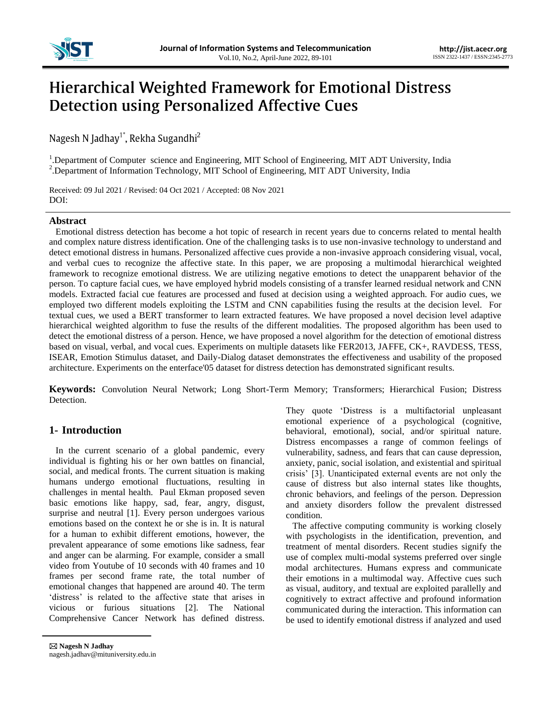

# **Hierarchical Weighted Framework for Emotional Distress Detection using Personalized Affective Cues**

Nagesh N Jadhay<sup>1\*</sup>, Rekha Sugandhi<sup>2</sup>

<sup>1</sup>. Department of Computer science and Engineering, MIT School of Engineering, MIT ADT University, India <sup>2</sup>. Department of Information Technology, MIT School of Engineering, MIT ADT University, India

Received: 09 Jul 2021 / Revised: 04 Oct 2021 / Accepted: 08 Nov 2021 DOI:

## **Abstract**

Emotional distress detection has become a hot topic of research in recent years due to concerns related to mental health and complex nature distress identification. One of the challenging tasks is to use non-invasive technology to understand and detect emotional distress in humans. Personalized affective cues provide a non-invasive approach considering visual, vocal, and verbal cues to recognize the affective state. In this paper, we are proposing a multimodal hierarchical weighted framework to recognize emotional distress. We are utilizing negative emotions to detect the unapparent behavior of the person. To capture facial cues, we have employed hybrid models consisting of a transfer learned residual network and CNN models. Extracted facial cue features are processed and fused at decision using a weighted approach. For audio cues, we employed two different models exploiting the LSTM and CNN capabilities fusing the results at the decision level. For textual cues, we used a BERT transformer to learn extracted features. We have proposed a novel decision level adaptive hierarchical weighted algorithm to fuse the results of the different modalities. The proposed algorithm has been used to detect the emotional distress of a person. Hence, we have proposed a novel algorithm for the detection of emotional distress based on visual, verbal, and vocal cues. Experiments on multiple datasets like FER2013, JAFFE, CK+, RAVDESS, TESS, ISEAR, Emotion Stimulus dataset, and Daily-Dialog dataset demonstrates the effectiveness and usability of the proposed architecture. Experiments on the enterface'05 dataset for distress detection has demonstrated significant results.

**Keywords:** Convolution Neural Network; Long Short-Term Memory; Transformers; Hierarchical Fusion; Distress Detection.

# **1- Introduction**

In the current scenario of a global pandemic, every individual is fighting his or her own battles on financial, social, and medical fronts. The current situation is making humans undergo emotional fluctuations, resulting in challenges in mental health. Paul Ekman proposed seven basic emotions like happy, sad, fear, angry, disgust, surprise and neutral [1]. Every person undergoes various emotions based on the context he or she is in. It is natural for a human to exhibit different emotions, however, the prevalent appearance of some emotions like sadness, fear and anger can be alarming. For example, consider a small video from Youtube of 10 seconds with 40 frames and 10 frames per second frame rate, the total number of emotional changes that happened are around 40. The term 'distress' is related to the affective state that arises in vicious or furious situations [2]. The National Comprehensive Cancer Network has defined distress.

They quote "Distress is a multifactorial unpleasant emotional experience of a psychological (cognitive, behavioral, emotional), social, and/or spiritual nature. Distress encompasses a range of common feelings of vulnerability, sadness, and fears that can cause depression, anxiety, panic, social isolation, and existential and spiritual crisis" [3]. Unanticipated external events are not only the cause of distress but also internal states like thoughts, chronic behaviors, and feelings of the person. Depression and anxiety disorders follow the prevalent distressed condition.

The affective computing community is working closely with psychologists in the identification, prevention, and treatment of mental disorders. Recent studies signify the use of complex multi-modal systems preferred over single modal architectures. Humans express and communicate their emotions in a multimodal way. Affective cues such as visual, auditory, and textual are exploited parallelly and cognitively to extract affective and profound information communicated during the interaction. This information can be used to identify emotional distress if analyzed and used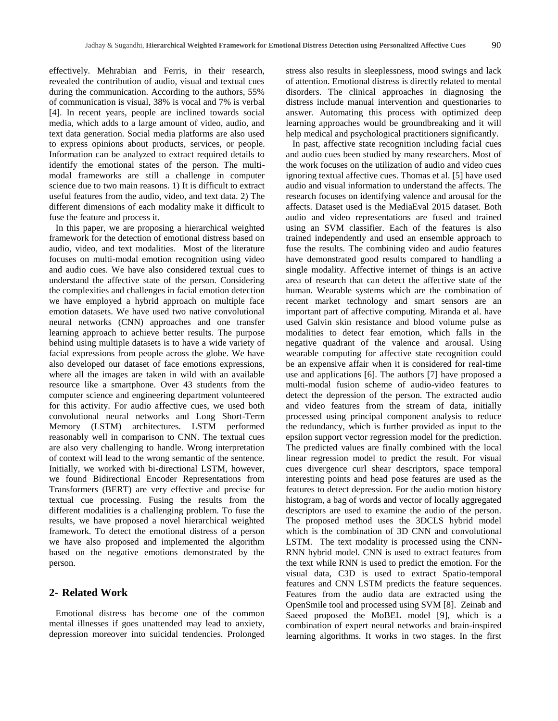effectively. Mehrabian and Ferris, in their research, revealed the contribution of audio, visual and textual cues during the communication. According to the authors, 55% of communication is visual, 38% is vocal and 7% is verbal [4]. In recent years, people are inclined towards social media, which adds to a large amount of video, audio, and text data generation. Social media platforms are also used to express opinions about products, services, or people. Information can be analyzed to extract required details to identify the emotional states of the person. The multimodal frameworks are still a challenge in computer science due to two main reasons. 1) It is difficult to extract useful features from the audio, video, and text data. 2) The different dimensions of each modality make it difficult to fuse the feature and process it.

In this paper, we are proposing a hierarchical weighted framework for the detection of emotional distress based on audio, video, and text modalities. Most of the literature focuses on multi-modal emotion recognition using video and audio cues. We have also considered textual cues to understand the affective state of the person. Considering the complexities and challenges in facial emotion detection we have employed a hybrid approach on multiple face emotion datasets. We have used two native convolutional neural networks (CNN) approaches and one transfer learning approach to achieve better results. The purpose behind using multiple datasets is to have a wide variety of facial expressions from people across the globe. We have also developed our dataset of face emotions expressions, where all the images are taken in wild with an available resource like a smartphone. Over 43 students from the computer science and engineering department volunteered for this activity. For audio affective cues, we used both convolutional neural networks and Long Short-Term Memory (LSTM) architectures. LSTM performed reasonably well in comparison to CNN. The textual cues are also very challenging to handle. Wrong interpretation of context will lead to the wrong semantic of the sentence. Initially, we worked with bi-directional LSTM, however, we found Bidirectional Encoder Representations from Transformers (BERT) are very effective and precise for textual cue processing. Fusing the results from the different modalities is a challenging problem. To fuse the results, we have proposed a novel hierarchical weighted framework. To detect the emotional distress of a person we have also proposed and implemented the algorithm based on the negative emotions demonstrated by the person.

## **2- Related Work**

Emotional distress has become one of the common mental illnesses if goes unattended may lead to anxiety, depression moreover into suicidal tendencies. Prolonged

stress also results in sleeplessness, mood swings and lack of attention. Emotional distress is directly related to mental disorders. The clinical approaches in diagnosing the distress include manual intervention and questionaries to answer. Automating this process with optimized deep learning approaches would be groundbreaking and it will help medical and psychological practitioners significantly.

In past, affective state recognition including facial cues and audio cues been studied by many researchers. Most of the work focuses on the utilization of audio and video cues ignoring textual affective cues. Thomas et al. [5] have used audio and visual information to understand the affects. The research focuses on identifying valence and arousal for the affects. Dataset used is the MediaEval 2015 dataset. Both audio and video representations are fused and trained using an SVM classifier. Each of the features is also trained independently and used an ensemble approach to fuse the results. The combining video and audio features have demonstrated good results compared to handling a single modality. Affective internet of things is an active area of research that can detect the affective state of the human. Wearable systems which are the combination of recent market technology and smart sensors are an important part of affective computing. Miranda et al. have used Galvin skin resistance and blood volume pulse as modalities to detect fear emotion, which falls in the negative quadrant of the valence and arousal. Using wearable computing for affective state recognition could be an expensive affair when it is considered for real-time use and applications [6]. The authors [7] have proposed a multi-modal fusion scheme of audio-video features to detect the depression of the person. The extracted audio and video features from the stream of data, initially processed using principal component analysis to reduce the redundancy, which is further provided as input to the epsilon support vector regression model for the prediction. The predicted values are finally combined with the local linear regression model to predict the result. For visual cues divergence curl shear descriptors, space temporal interesting points and head pose features are used as the features to detect depression. For the audio motion history histogram, a bag of words and vector of locally aggregated descriptors are used to examine the audio of the person. The proposed method uses the 3DCLS hybrid model which is the combination of 3D CNN and convolutional LSTM. The text modality is processed using the CNN-RNN hybrid model. CNN is used to extract features from the text while RNN is used to predict the emotion. For the visual data, C3D is used to extract Spatio-temporal features and CNN LSTM predicts the feature sequences. Features from the audio data are extracted using the OpenSmile tool and processed using SVM [8]. Zeinab and Saeed proposed the MoBEL model [9], which is a combination of expert neural networks and brain-inspired learning algorithms. It works in two stages. In the first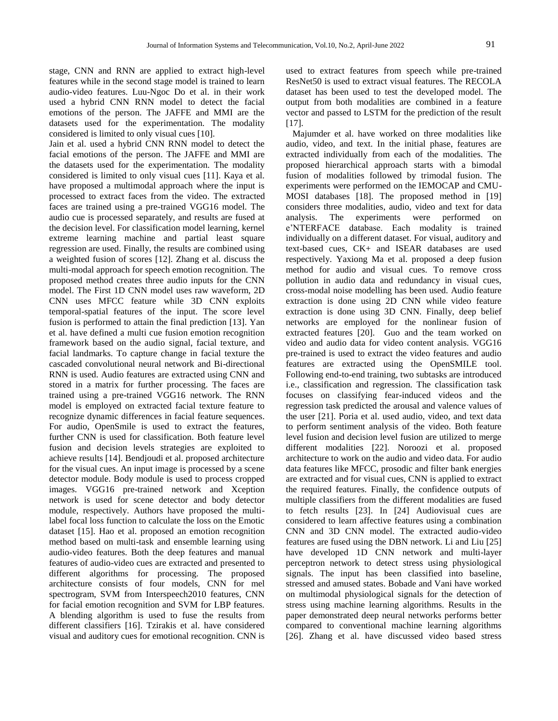stage, CNN and RNN are applied to extract high-level features while in the second stage model is trained to learn audio-video features. Luu-Ngoc Do et al. in their work used a hybrid CNN RNN model to detect the facial emotions of the person. The JAFFE and MMI are the datasets used for the experimentation. The modality considered is limited to only visual cues [10].

Jain et al. used a hybrid CNN RNN model to detect the facial emotions of the person. The JAFFE and MMI are the datasets used for the experimentation. The modality considered is limited to only visual cues [11]. Kaya et al. have proposed a multimodal approach where the input is processed to extract faces from the video. The extracted faces are trained using a pre-trained VGG16 model. The audio cue is processed separately, and results are fused at the decision level. For classification model learning, kernel extreme learning machine and partial least square regression are used. Finally, the results are combined using a weighted fusion of scores [12]. Zhang et al. discuss the multi-modal approach for speech emotion recognition. The proposed method creates three audio inputs for the CNN model. The First 1D CNN model uses raw waveform, 2D CNN uses MFCC feature while 3D CNN exploits temporal-spatial features of the input. The score level fusion is performed to attain the final prediction [13]. Yan et al. have defined a multi cue fusion emotion recognition framework based on the audio signal, facial texture, and facial landmarks. To capture change in facial texture the cascaded convolutional neural network and Bi-directional RNN is used. Audio features are extracted using CNN and stored in a matrix for further processing. The faces are trained using a pre-trained VGG16 network. The RNN model is employed on extracted facial texture feature to recognize dynamic differences in facial feature sequences. For audio, OpenSmile is used to extract the features, further CNN is used for classification. Both feature level fusion and decision levels strategies are exploited to achieve results [14]. Bendjoudi et al. proposed architecture for the visual cues. An input image is processed by a scene detector module. Body module is used to process cropped images. VGG16 pre-trained network and Xception network is used for scene detector and body detector module, respectively. Authors have proposed the multilabel focal loss function to calculate the loss on the Emotic dataset [15]. Hao et al. proposed an emotion recognition method based on multi-task and ensemble learning using audio-video features. Both the deep features and manual features of audio-video cues are extracted and presented to different algorithms for processing. The proposed architecture consists of four models, CNN for mel spectrogram, SVM from Interspeech2010 features, CNN for facial emotion recognition and SVM for LBP features. A blending algorithm is used to fuse the results from different classifiers [16]. Tzirakis et al. have considered visual and auditory cues for emotional recognition. CNN is

used to extract features from speech while pre-trained ResNet50 is used to extract visual features. The RECOLA dataset has been used to test the developed model. The output from both modalities are combined in a feature vector and passed to LSTM for the prediction of the result [17].

Majumder et al. have worked on three modalities like audio, video, and text. In the initial phase, features are extracted individually from each of the modalities. The proposed hierarchical approach starts with a bimodal fusion of modalities followed by trimodal fusion. The experiments were performed on the IEMOCAP and CMU-MOSI databases [18]. The proposed method in [19] considers three modalities, audio, video and text for data analysis. The experiments were performed on e"NTERFACE database. Each modality is trained individually on a different dataset. For visual, auditory and text-based cues, CK+ and ISEAR databases are used respectively. Yaxiong Ma et al. proposed a deep fusion method for audio and visual cues. To remove cross pollution in audio data and redundancy in visual cues, cross-modal noise modelling has been used. Audio feature extraction is done using 2D CNN while video feature extraction is done using 3D CNN. Finally, deep belief networks are employed for the nonlinear fusion of extracted features [20]. Guo and the team worked on video and audio data for video content analysis. VGG16 pre-trained is used to extract the video features and audio features are extracted using the OpenSMILE tool. Following end-to-end training, two subtasks are introduced i.e., classification and regression. The classification task focuses on classifying fear-induced videos and the regression task predicted the arousal and valence values of the user [21]. Poria et al. used audio, video, and text data to perform sentiment analysis of the video. Both feature level fusion and decision level fusion are utilized to merge different modalities [22]. Noroozi et al. proposed architecture to work on the audio and video data. For audio data features like MFCC, prosodic and filter bank energies are extracted and for visual cues, CNN is applied to extract the required features. Finally, the confidence outputs of multiple classifiers from the different modalities are fused to fetch results [23]. In [24] Audiovisual cues are considered to learn affective features using a combination CNN and 3D CNN model. The extracted audio-video features are fused using the DBN network. Li and Liu [25] have developed 1D CNN network and multi-layer perceptron network to detect stress using physiological signals. The input has been classified into baseline, stressed and amused states. Bobade and Vani have worked on multimodal physiological signals for the detection of stress using machine learning algorithms. Results in the paper demonstrated deep neural networks performs better compared to conventional machine learning algorithms [26]. Zhang et al. have discussed video based stress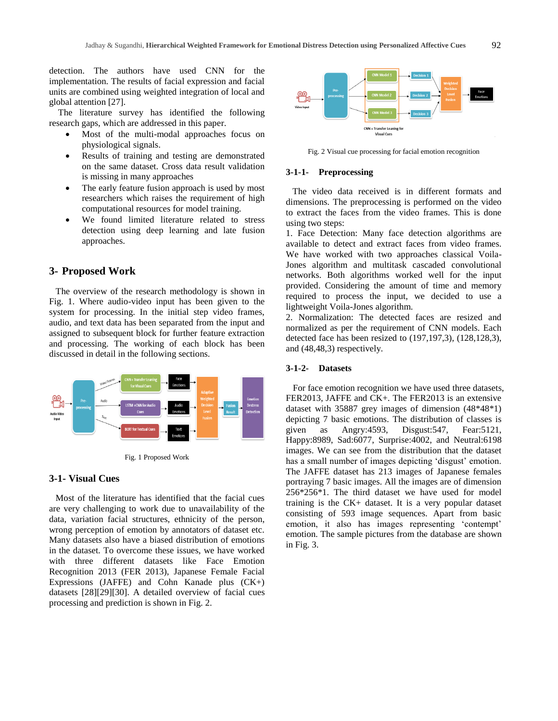detection. The authors have used CNN for the implementation. The results of facial expression and facial units are combined using weighted integration of local and global attention [27].

 The literature survey has identified the following research gaps, which are addressed in this paper.

- Most of the multi-modal approaches focus on physiological signals.
- Results of training and testing are demonstrated on the same dataset. Cross data result validation is missing in many approaches
- The early feature fusion approach is used by most researchers which raises the requirement of high computational resources for model training.
- We found limited literature related to stress detection using deep learning and late fusion approaches.

## **3- Proposed Work**

The overview of the research methodology is shown in Fig. 1. Where audio-video input has been given to the system for processing. In the initial step video frames, audio, and text data has been separated from the input and assigned to subsequent block for further feature extraction and processing. The working of each block has been discussed in detail in the following sections.



Fig. 1 Proposed Work

## **3-1- Visual Cues**

Most of the literature has identified that the facial cues are very challenging to work due to unavailability of the data, variation facial structures, ethnicity of the person, wrong perception of emotion by annotators of dataset etc. Many datasets also have a biased distribution of emotions in the dataset. To overcome these issues, we have worked with three different datasets like Face Emotion Recognition 2013 (FER 2013), Japanese Female Facial Expressions (JAFFE) and Cohn Kanade plus (CK+) datasets [28][29][30]. A detailed overview of facial cues processing and prediction is shown in Fig. 2.



Fig. 2 Visual cue processing for facial emotion recognition

#### **3-1-1- Preprocessing**

The video data received is in different formats and dimensions. The preprocessing is performed on the video to extract the faces from the video frames. This is done using two steps:

1. Face Detection: Many face detection algorithms are available to detect and extract faces from video frames. We have worked with two approaches classical Voila-Jones algorithm and multitask cascaded convolutional networks. Both algorithms worked well for the input provided. Considering the amount of time and memory required to process the input, we decided to use a lightweight Voila-Jones algorithm.

2. Normalization: The detected faces are resized and normalized as per the requirement of CNN models. Each detected face has been resized to (197,197,3), (128,128,3), and (48,48,3) respectively.

#### **3-1-2- Datasets**

 For face emotion recognition we have used three datasets, FER2013, JAFFE and CK+. The FER2013 is an extensive dataset with 35887 grey images of dimension (48\*48\*1) depicting 7 basic emotions. The distribution of classes is given as Angry:4593, Disgust:547, Fear:5121, Happy:8989, Sad:6077, Surprise:4002, and Neutral:6198 images. We can see from the distribution that the dataset has a small number of images depicting 'disgust' emotion. The JAFFE dataset has 213 images of Japanese females portraying 7 basic images. All the images are of dimension 256\*256\*1. The third dataset we have used for model training is the CK+ dataset. It is a very popular dataset consisting of 593 image sequences. Apart from basic emotion, it also has images representing 'contempt' emotion. The sample pictures from the database are shown in Fig. 3.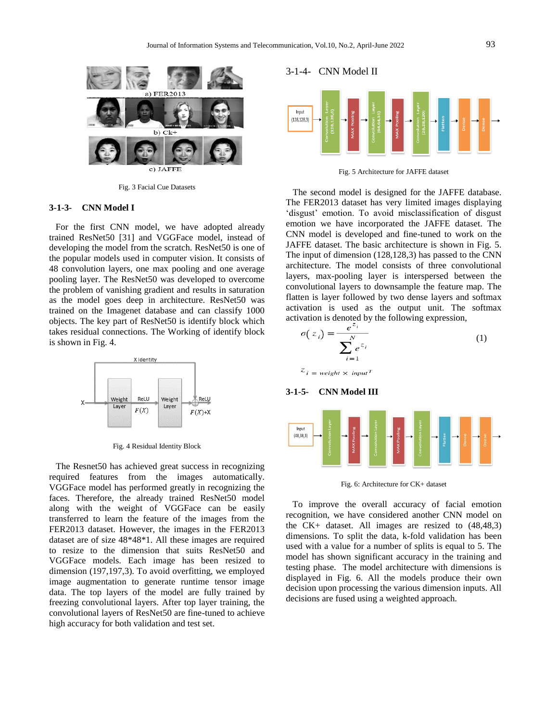

Fig. 3 Facial Cue Datasets

#### **3-1-3- CNN Model I**

For the first CNN model, we have adopted already trained ResNet50 [31] and VGGFace model, instead of developing the model from the scratch. ResNet50 is one of the popular models used in computer vision. It consists of 48 convolution layers, one max pooling and one average pooling layer. The ResNet50 was developed to overcome the problem of vanishing gradient and results in saturation as the model goes deep in architecture. ResNet50 was trained on the Imagenet database and can classify 1000 objects. The key part of ResNet50 is identify block which takes residual connections. The Working of identify block is shown in Fig. 4.



Fig. 4 Residual Identity Block

 The Resnet50 has achieved great success in recognizing required features from the images automatically. VGGFace model has performed greatly in recognizing the faces. Therefore, the already trained ResNet50 model along with the weight of VGGFace can be easily transferred to learn the feature of the images from the FER2013 dataset. However, the images in the FER2013 dataset are of size 48\*48\*1. All these images are required to resize to the dimension that suits ResNet50 and VGGFace models. Each image has been resized to dimension (197,197,3). To avoid overfitting, we employed image augmentation to generate runtime tensor image data. The top layers of the model are fully trained by freezing convolutional layers. After top layer training, the convolutional layers of ResNet50 are fine-tuned to achieve high accuracy for both validation and test set.

## 3-1-4- CNN Model II



Fig. 5 Architecture for JAFFE dataset

 The second model is designed for the JAFFE database. The FER2013 dataset has very limited images displaying 'disgust' emotion. To avoid misclassification of disgust emotion we have incorporated the JAFFE dataset. The CNN model is developed and fine-tuned to work on the JAFFE dataset. The basic architecture is shown in Fig. 5. The input of dimension (128,128,3) has passed to the CNN architecture. The model consists of three convolutional layers, max-pooling layer is interspersed between the convolutional layers to downsample the feature map. The flatten is layer followed by two dense layers and softmax activation is used as the output unit. The softmax activation is denoted by the following expression,

$$
\sigma(z_i) = \frac{e^{-i}}{\sum_{i=1}^{N} e^{z_i}}
$$
 (1)

 $z_i = weight \times input^T$ 





Fig. 6: Architecture for CK+ dataset

To improve the overall accuracy of facial emotion recognition, we have considered another CNN model on the CK+ dataset. All images are resized to (48,48,3) dimensions. To split the data, k-fold validation has been used with a value for a number of splits is equal to 5. The model has shown significant accuracy in the training and testing phase. The model architecture with dimensions is displayed in Fig. 6. All the models produce their own decision upon processing the various dimension inputs. All decisions are fused using a weighted approach.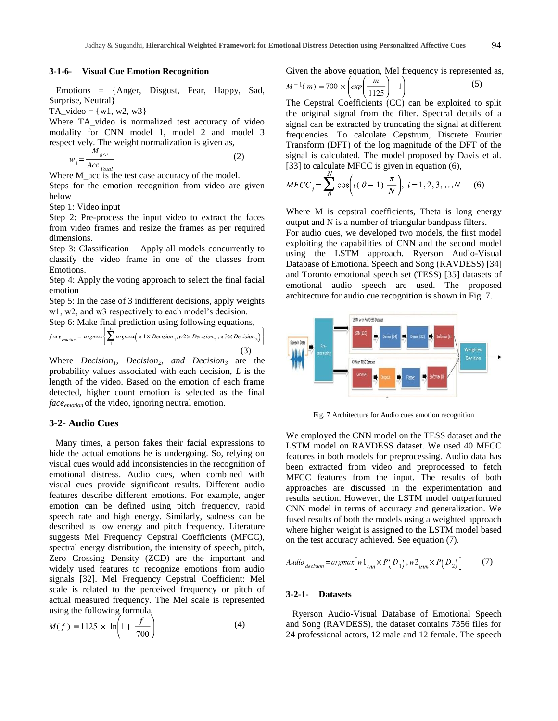#### **3-1-6- Visual Cue Emotion Recognition**

 Emotions = {Anger, Disgust, Fear, Happy, Sad, Surprise, Neutral}

TA\_video =  $\{w1, w2, w3\}$ 

Where TA\_video is normalized test accuracy of video modality for CNN model 1, model 2 and model 3 respectively. The weight normalization is given as,

$$
w_i = \frac{M_{acc}}{Acc_{Total}}
$$
 (2)

Where M<sub>\_acc</sub> is the test case accuracy of the model.

Steps for the emotion recognition from video are given below

Step 1: Video input

Step 2: Pre-process the input video to extract the faces from video frames and resize the frames as per required dimensions.

Step 3: Classification – Apply all models concurrently to classify the video frame in one of the classes from Emotions.

Step 4: Apply the voting approach to select the final facial emotion

Step 5: In the case of 3 indifferent decisions, apply weights w1, w2, and w3 respectively to each model's decision.

Step 6: Make final prediction using following equations,

$$
face_{emotion} = argmax \left\{ \sum_{1} argmax \left( w1 \times Decision_{1}, w2 \times Decision_{2}, w3 \times Decision_{3} \right) \right\}
$$
\n(3)

Where *Decision1, Decision2, and Decision<sup>3</sup>* are the probability values associated with each decision, *L* is the length of the video. Based on the emotion of each frame detected, higher count emotion is selected as the final *faceemotion* of the video, ignoring neutral emotion.

## **3-2- Audio Cues**

Many times, a person fakes their facial expressions to hide the actual emotions he is undergoing. So, relying on visual cues would add inconsistencies in the recognition of emotional distress. Audio cues, when combined with visual cues provide significant results. Different audio features describe different emotions. For example, anger emotion can be defined using pitch frequency, rapid speech rate and high energy. Similarly, sadness can be described as low energy and pitch frequency. Literature suggests Mel Frequency Cepstral Coefficients (MFCC), spectral energy distribution, the intensity of speech, pitch, Zero Crossing Density (ZCD) are the important and widely used features to recognize emotions from audio signals [32]. Mel Frequency Cepstral Coefficient: Mel scale is related to the perceived frequency or pitch of actual measured frequency. The Mel scale is represented using the following formula,

$$
M(f) = 1125 \times \ln\left(1 + \frac{f}{700}\right)
$$
 (4)

Given the above equation, Mel frequency is represented as,

$$
M^{-1}(m) = 700 \times \left(\exp\left(\frac{m}{1125}\right) - 1\right) \tag{5}
$$

The Cepstral Coefficients (CC) can be exploited to split the original signal from the filter. Spectral details of a signal can be extracted by truncating the signal at different frequencies. To calculate Cepstrum, Discrete Fourier Transform (DFT) of the log magnitude of the DFT of the signal is calculated. The model proposed by Davis et al. [33] to calculate MFCC is given in equation (6),

$$
MFCC_i = \sum_{\theta}^{N} \cos\left(i(\theta - 1)\frac{\pi}{N}\right), \ i = 1, 2, 3, ... N \tag{6}
$$

Where M is cepstral coefficients, Theta is long energy output and N is a number of triangular bandpass filters. For audio cues, we developed two models, the first model exploiting the capabilities of CNN and the second model using the LSTM approach. Ryerson Audio-Visual Database of Emotional Speech and Song (RAVDESS) [34] and Toronto emotional speech set (TESS) [35] datasets of emotional audio speech are used. The proposed architecture for audio cue recognition is shown in Fig. 7.



Fig. 7 Architecture for Audio cues emotion recognition

We employed the CNN model on the TESS dataset and the LSTM model on RAVDESS dataset. We used 40 MFCC features in both models for preprocessing. Audio data has been extracted from video and preprocessed to fetch MFCC features from the input. The results of both approaches are discussed in the experimentation and results section. However, the LSTM model outperformed CNN model in terms of accuracy and generalization. We fused results of both the models using a weighted approach where higher weight is assigned to the LSTM model based on the test accuracy achieved. See equation (7).

$$
Audio_{decision} = argmax[w1_{cm} \times P(D_1), w2_{lstm} \times P(D_2)] \tag{7}
$$

## **3-2-1- Datasets**

Ryerson Audio-Visual Database of Emotional Speech and Song (RAVDESS), the dataset contains 7356 files for 24 professional actors, 12 male and 12 female. The speech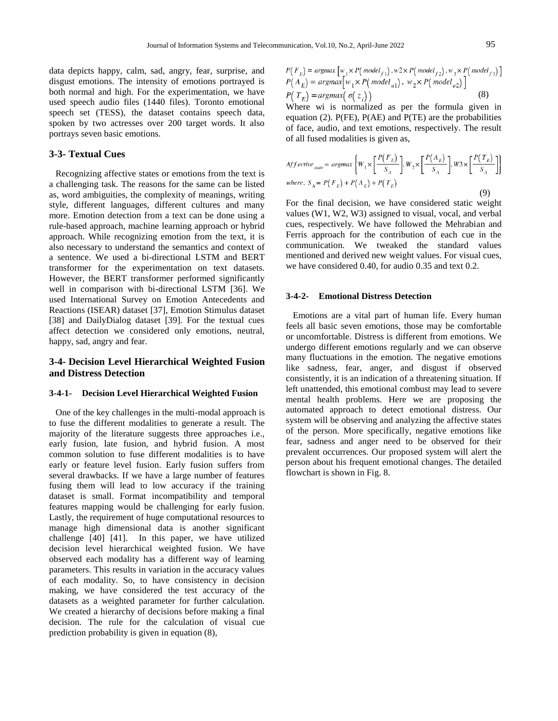data depicts happy, calm, sad, angry, fear, surprise, and disgust emotions. The intensity of emotions portrayed is both normal and high. For the experimentation, we have used speech audio files (1440 files). Toronto emotional speech set (TESS), the dataset contains speech data, spoken by two actresses over 200 target words. It also portrays seven basic emotions.

#### **3-3- Textual Cues**

Recognizing affective states or emotions from the text is a challenging task. The reasons for the same can be listed as, word ambiguities, the complexity of meanings, writing style, different languages, different cultures and many more. Emotion detection from a text can be done using a rule-based approach, machine learning approach or hybrid approach. While recognizing emotion from the text, it is also necessary to understand the semantics and context of a sentence. We used a bi-directional LSTM and BERT transformer for the experimentation on text datasets. However, the BERT transformer performed significantly well in comparison with bi-directional LSTM [36]. We used International Survey on Emotion Antecedents and Reactions (ISEAR) dataset [37], Emotion Stimulus dataset [38] and DailyDialog dataset [39]. For the textual cues affect detection we considered only emotions, neutral, happy, sad, angry and fear.

# **3-4- Decision Level Hierarchical Weighted Fusion and Distress Detection**

#### **3-4-1- Decision Level Hierarchical Weighted Fusion**

One of the key challenges in the multi-modal approach is to fuse the different modalities to generate a result. The majority of the literature suggests three approaches i.e., early fusion, late fusion, and hybrid fusion. A most common solution to fuse different modalities is to have early or feature level fusion. Early fusion suffers from several drawbacks. If we have a large number of features fusing them will lead to low accuracy if the training dataset is small. Format incompatibility and temporal features mapping would be challenging for early fusion. Lastly, the requirement of huge computational resources to manage high dimensional data is another significant challenge [40] [41]. In this paper, we have utilized decision level hierarchical weighted fusion. We have observed each modality has a different way of learning parameters. This results in variation in the accuracy values of each modality. So, to have consistency in decision making, we have considered the test accuracy of the datasets as a weighted parameter for further calculation. We created a hierarchy of decisions before making a final decision. The rule for the calculation of visual cue prediction probability is given in equation (8),

$$
P(F_E) = \operatorname{argmax}_{W_1 \times P(\text{model}_{f_1}), W_2 \times P(\text{model}_{f_2}), W_3 \times P(\text{model}_{f_3})}
$$
  
\n
$$
P(A_E) = \operatorname{argmax}_{W_1 \times P(\text{model}_{a_1}), W_2 \times P(\text{model}_{a_2})}
$$
  
\n
$$
P(T_E) = \operatorname{argmax}_{W_1 \times P(\text{model}_{a_1}), W_2 \times P(\text{model}_{a_2})}
$$
 (8)

Where wi is normalized as per the formula given in equation (2). P(FE), P(AE) and P(TE) are the probabilities of face, audio, and text emotions, respectively. The result of all fused modalities is given as,

$$
A f f ective_{\text{state}} = \operatorname{argmax} \left\{ W_1 \times \left[ \frac{P(F_E)}{S_A} \right], W_2 \times \left[ \frac{P(A_E)}{S_A} \right], W3 \times \left[ \frac{P(T_E)}{S_A} \right] \right\}
$$
  
where,  $S_A = P(F_E) + P(A_E) + P(T_E)$  (9)

For the final decision, we have considered static weight values (W1, W2, W3) assigned to visual, vocal, and verbal cues, respectively. We have followed the Mehrabian and Ferris approach for the contribution of each cue in the communication. We tweaked the standard values mentioned and derived new weight values. For visual cues, we have considered 0.40, for audio 0.35 and text 0.2.

## **3-4-2- Emotional Distress Detection**

 Emotions are a vital part of human life. Every human feels all basic seven emotions, those may be comfortable or uncomfortable. Distress is different from emotions. We undergo different emotions regularly and we can observe many fluctuations in the emotion. The negative emotions like sadness, fear, anger, and disgust if observed consistently, it is an indication of a threatening situation. If left unattended, this emotional combust may lead to severe mental health problems. Here we are proposing the automated approach to detect emotional distress. Our system will be observing and analyzing the affective states of the person. More specifically, negative emotions like fear, sadness and anger need to be observed for their prevalent occurrences. Our proposed system will alert the person about his frequent emotional changes. The detailed flowchart is shown in Fig. 8.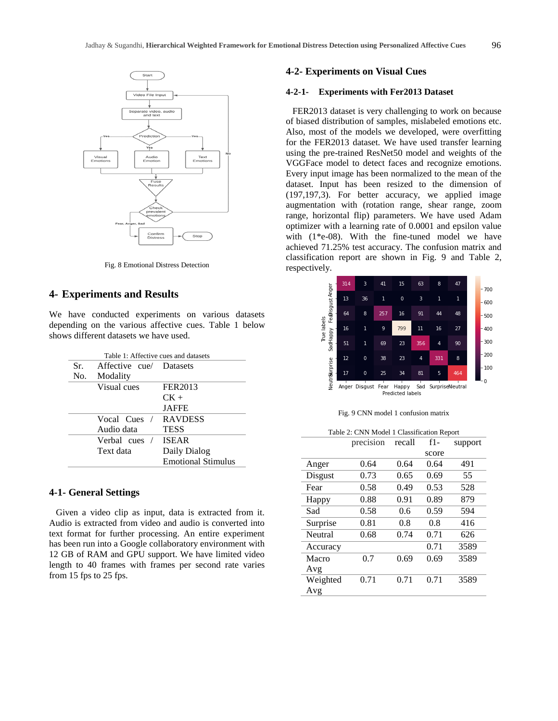

Fig. 8 Emotional Distress Detection

## **4- Experiments and Results**

We have conducted experiments on various datasets depending on the various affective cues. Table 1 below shows different datasets we have used.

|     | Table 1: Affective cues and datasets |                           |
|-----|--------------------------------------|---------------------------|
| Sr. | Affective cue/ Datasets              |                           |
| No. | Modality                             |                           |
|     | Visual cues                          | FER2013                   |
|     |                                      | $CK +$                    |
|     |                                      | <b>JAFFE</b>              |
|     | Vocal Cues                           | <b>RAVDESS</b>            |
|     | Audio data                           | <b>TESS</b>               |
|     | Verbal cues /                        | <b>ISEAR</b>              |
|     | Text data                            | Daily Dialog              |
|     |                                      | <b>Emotional Stimulus</b> |

#### **4-1- General Settings**

 Given a video clip as input, data is extracted from it. Audio is extracted from video and audio is converted into text format for further processing. An entire experiment has been run into a Google collaboratory environment with 12 GB of RAM and GPU support. We have limited video length to 40 frames with frames per second rate varies from 15 fps to 25 fps.

## **4-2- Experiments on Visual Cues**

#### **4-2-1- Experiments with Fer2013 Dataset**

FER2013 dataset is very challenging to work on because of biased distribution of samples, mislabeled emotions etc. Also, most of the models we developed, were overfitting for the FER2013 dataset. We have used transfer learning using the pre-trained ResNet50 model and weights of the VGGFace model to detect faces and recognize emotions. Every input image has been normalized to the mean of the dataset. Input has been resized to the dimension of (197,197,3). For better accuracy, we applied image augmentation with (rotation range, shear range, zoom range, horizontal flip) parameters. We have used Adam optimizer with a learning rate of 0.0001 and epsilon value with  $(1^*e-08)$ . With the fine-tuned model we have achieved 71.25% test accuracy. The confusion matrix and classification report are shown in Fig. 9 and Table 2, respectively.



|  |  |  |  |  | Fig. 9 CNN model 1 confusion matrix |  |
|--|--|--|--|--|-------------------------------------|--|
|--|--|--|--|--|-------------------------------------|--|

Table 2: CNN Model 1 Classification Report

|          | precision | recall | $f1-$ | support |
|----------|-----------|--------|-------|---------|
|          |           |        | score |         |
| Anger    | 0.64      | 0.64   | 0.64  | 491     |
| Disgust  | 0.73      | 0.65   | 0.69  | 55      |
| Fear     | 0.58      | 0.49   | 0.53  | 528     |
| Happy    | 0.88      | 0.91   | 0.89  | 879     |
| Sad      | 0.58      | 0.6    | 0.59  | 594     |
| Surprise | 0.81      | 0.8    | 0.8   | 416     |
| Neutral  | 0.68      | 0.74   | 0.71  | 626     |
| Accuracy |           |        | 0.71  | 3589    |
| Macro    | 0.7       | 0.69   | 0.69  | 3589    |
| Avg      |           |        |       |         |
| Weighted | 0.71      | 0.71   | 0.71  | 3589    |
| Avg      |           |        |       |         |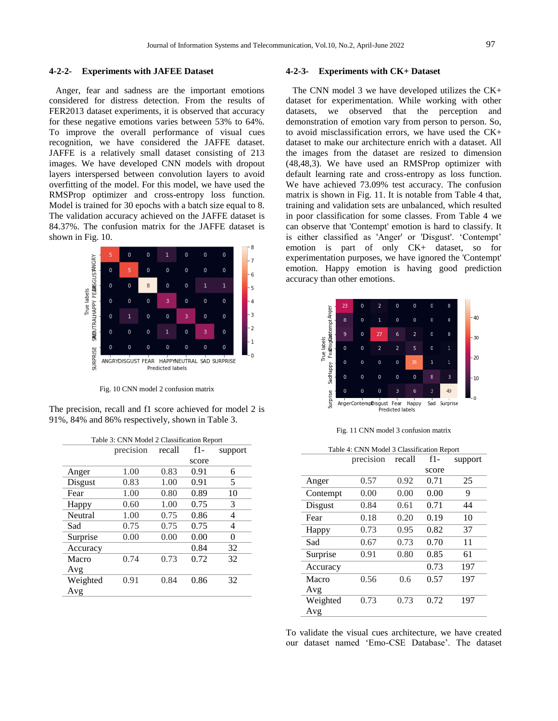#### **4-2-2- Experiments with JAFEE Dataset**

Anger, fear and sadness are the important emotions considered for distress detection. From the results of FER2013 dataset experiments, it is observed that accuracy for these negative emotions varies between 53% to 64%. To improve the overall performance of visual cues recognition, we have considered the JAFFE dataset. JAFFE is a relatively small dataset consisting of 213 images. We have developed CNN models with dropout layers interspersed between convolution layers to avoid overfitting of the model. For this model, we have used the RMSProp optimizer and cross-entropy loss function. Model is trained for 30 epochs with a batch size equal to 8. The validation accuracy achieved on the JAFFE dataset is 84.37%. The confusion matrix for the JAFFE dataset is shown in Fig. 10.



Fig. 10 CNN model 2 confusion matrix

The precision, recall and f1 score achieved for model 2 is 91%, 84% and 86% respectively, shown in Table 3.

| Table 3: CNN Model 2 Classification Report |           |        |       |         |  |
|--------------------------------------------|-----------|--------|-------|---------|--|
|                                            | precision | recall | $f1-$ | support |  |
|                                            |           |        | score |         |  |
| Anger                                      | 1.00      | 0.83   | 0.91  | 6       |  |
| Disgust                                    | 0.83      | 1.00   | 0.91  | 5       |  |
| Fear                                       | 1.00      | 0.80   | 0.89  | 10      |  |
| Happy                                      | 0.60      | 1.00   | 0.75  | 3       |  |
| Neutral                                    | 1.00      | 0.75   | 0.86  | 4       |  |
| Sad                                        | 0.75      | 0.75   | 0.75  | 4       |  |
| Surprise                                   | 0.00      | 0.00   | 0.00  | 0       |  |
| Accuracy                                   |           |        | 0.84  | 32      |  |
| Macro                                      | 0.74      | 0.73   | 0.72  | 32      |  |
| Avg                                        |           |        |       |         |  |
| Weighted                                   | 0.91      | 0.84   | 0.86  | 32      |  |
| Avg                                        |           |        |       |         |  |
|                                            |           |        |       |         |  |

#### **4-2-3- Experiments with CK+ Dataset**

The CNN model 3 we have developed utilizes the CK+ dataset for experimentation. While working with other datasets, we observed that the perception and demonstration of emotion vary from person to person. So, to avoid misclassification errors, we have used the CK+ dataset to make our architecture enrich with a dataset. All the images from the dataset are resized to dimension (48,48,3). We have used an RMSProp optimizer with default learning rate and cross-entropy as loss function. We have achieved 73.09% test accuracy. The confusion matrix is shown in Fig. 11. It is notable from Table 4 that, training and validation sets are unbalanced, which resulted in poor classification for some classes. From Table 4 we can observe that 'Contempt' emotion is hard to classify. It is either classified as 'Anger' or 'Disgust'. 'Contempt' emotion is part of only CK+ dataset, so for experimentation purposes, we have ignored the 'Contempt' emotion. Happy emotion is having good prediction accuracy than other emotions.



Fig. 11 CNN model 3 confusion matrix

| Table 4: CNN Model 3 Classification Report |           |        |       |         |  |
|--------------------------------------------|-----------|--------|-------|---------|--|
|                                            | precision | recall | f1-   | support |  |
|                                            |           |        | score |         |  |
| Anger                                      | 0.57      | 0.92   | 0.71  | 25      |  |
| Contempt                                   | 0.00      | 0.00   | 0.00  | 9       |  |
| Disgust                                    | 0.84      | 0.61   | 0.71  | 44      |  |
| Fear                                       | 0.18      | 0.20   | 0.19  | 10      |  |
| Happy                                      | 0.73      | 0.95   | 0.82  | 37      |  |
| Sad                                        | 0.67      | 0.73   | 0.70  | 11      |  |
| Surprise                                   | 0.91      | 0.80   | 0.85  | 61      |  |
| Accuracy                                   |           |        | 0.73  | 197     |  |
| Macro                                      | 0.56      | 0.6    | 0.57  | 197     |  |
| Avg                                        |           |        |       |         |  |
| Weighted                                   | 0.73      | 0.73   | 0.72  | 197     |  |
| Avg                                        |           |        |       |         |  |

To validate the visual cues architecture, we have created our dataset named "Emo-CSE Database". The dataset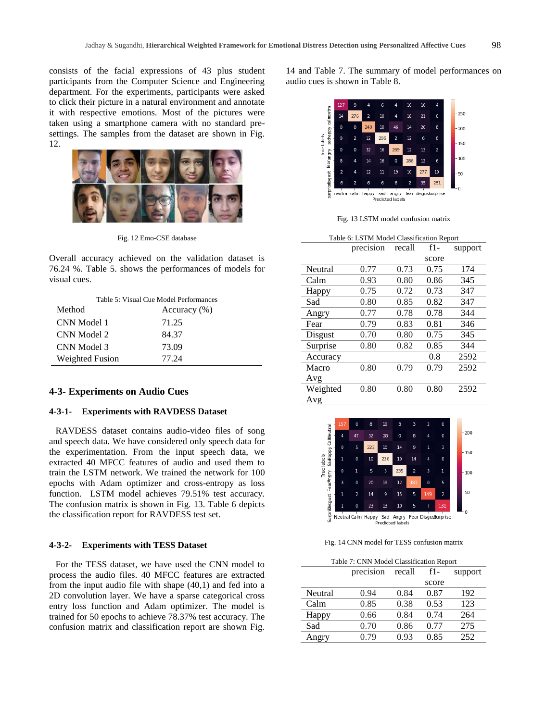consists of the facial expressions of 43 plus student participants from the Computer Science and Engineering department. For the experiments, participants were asked to click their picture in a natural environment and annotate it with respective emotions. Most of the pictures were taken using a smartphone camera with no standard presettings. The samples from the dataset are shown in Fig. 12.



Fig. 12 Emo-CSE database

Overall accuracy achieved on the validation dataset is 76.24 %. Table 5. shows the performances of models for visual cues.

| Table 5: Visual Cue Model Performances |  |  |  |
|----------------------------------------|--|--|--|
| Accuracy $(\%)$                        |  |  |  |
| 71.25                                  |  |  |  |
| 84.37                                  |  |  |  |
| 73.09                                  |  |  |  |
| 77.24                                  |  |  |  |
|                                        |  |  |  |

#### **4-3- Experiments on Audio Cues**

## **4-3-1- Experiments with RAVDESS Dataset**

RAVDESS dataset contains audio-video files of song and speech data. We have considered only speech data for the experimentation. From the input speech data, we extracted 40 MFCC features of audio and used them to train the LSTM network. We trained the network for 100 epochs with Adam optimizer and cross-entropy as loss function. LSTM model achieves 79.51% test accuracy. The confusion matrix is shown in Fig. 13. Table 6 depicts the classification report for RAVDESS test set.

#### **4-3-2- Experiments with TESS Dataset**

For the TESS dataset, we have used the CNN model to process the audio files. 40 MFCC features are extracted from the input audio file with shape (40,1) and fed into a 2D convolution layer. We have a sparse categorical cross entry loss function and Adam optimizer. The model is trained for 50 epochs to achieve 78.37% test accuracy. The confusion matrix and classification report are shown Fig.

14 and Table 7. The summary of model performances on audio cues is shown in Table 8.



Fig. 13 LSTM model confusion matrix

| Table 6: LSTM Model Classification Report |           |        |       |         |  |
|-------------------------------------------|-----------|--------|-------|---------|--|
|                                           | precision | recall | $f1-$ | support |  |
|                                           |           |        | score |         |  |
| Neutral                                   | 0.77      | 0.73   | 0.75  | 174     |  |
| Calm                                      | 0.93      | 0.80   | 0.86  | 345     |  |
| Happy                                     | 0.75      | 0.72   | 0.73  | 347     |  |
| Sad                                       | 0.80      | 0.85   | 0.82  | 347     |  |
| Angry                                     | 0.77      | 0.78   | 0.78  | 344     |  |
| Fear                                      | 0.79      | 0.83   | 0.81  | 346     |  |
| Disgust                                   | 0.70      | 0.80   | 0.75  | 345     |  |
| Surprise                                  | 0.80      | 0.82   | 0.85  | 344     |  |
| Accuracy                                  |           |        | 0.8   | 2592    |  |
| Macro                                     | 0.80      | 0.79   | 0.79  | 2592    |  |
| Avg                                       |           |        |       |         |  |
| Weighted                                  | 0.80      | 0.80   | 0.80  | 2592    |  |
| Avg                                       |           |        |       |         |  |



Fig. 14 CNN model for TESS confusion matrix

| Table 7: CNN Model Classification Report |           |        |       |         |  |
|------------------------------------------|-----------|--------|-------|---------|--|
|                                          | precision | recall | f1-   | support |  |
|                                          |           |        | score |         |  |
| Neutral                                  | 0.94      | 0.84   | 0.87  | 192     |  |
| Calm                                     | 0.85      | 0.38   | 0.53  | 123     |  |
| Happy                                    | 0.66      | 0.84   | 0.74  | 264     |  |
| Sad                                      | 0.70      | 0.86   | 0.77  | 275     |  |
| Angry                                    | 0.79      | 0.93   | 0.85  | 252     |  |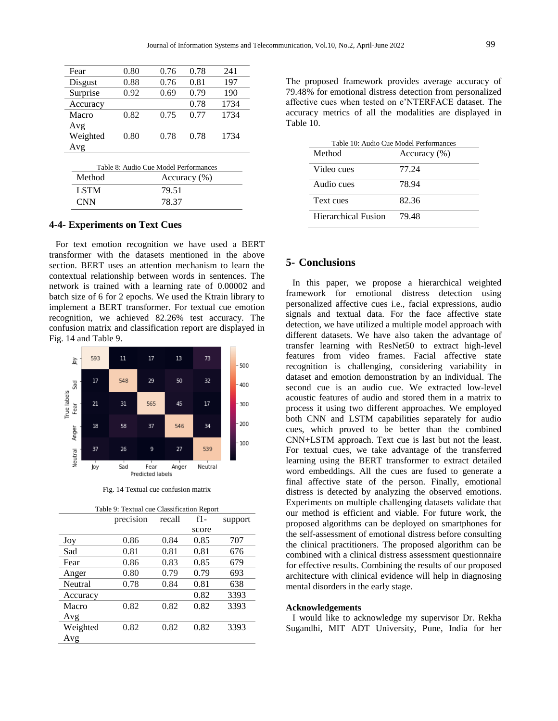| Fear     | 0.80 | 0.76 | 0.78 | 241  |
|----------|------|------|------|------|
| Disgust  | 0.88 | 0.76 | 0.81 | 197  |
| Surprise | 0.92 | 0.69 | 0.79 | 190  |
| Accuracy |      |      | 0.78 | 1734 |
| Macro    | 0.82 | 0.75 | 0.77 | 1734 |
| Avg      |      |      |      |      |
| Weighted | 0.80 | 0.78 | 0.78 | 1734 |
| Avg      |      |      |      |      |

| Table 8: Audio Cue Model Performances |       |  |  |
|---------------------------------------|-------|--|--|
| Method<br>Accuracy $(\%)$             |       |  |  |
| LSTM                                  | 79.51 |  |  |
| <b>CNN</b>                            | 78.37 |  |  |

## **4-4- Experiments on Text Cues**

For text emotion recognition we have used a BERT transformer with the datasets mentioned in the above section. BERT uses an attention mechanism to learn the contextual relationship between words in sentences. The network is trained with a learning rate of 0.00002 and batch size of 6 for 2 epochs. We used the Ktrain library to implement a BERT transformer. For textual cue emotion recognition, we achieved 82.26% test accuracy. The confusion matrix and classification report are displayed in Fig. 14 and Table 9.



Fig. 14 Textual cue confusion matrix

| Table 9: Textual cue Classification Report |           |        |       |         |  |
|--------------------------------------------|-----------|--------|-------|---------|--|
|                                            | precision | recall | $f1-$ | support |  |
|                                            |           |        | score |         |  |
| Joy                                        | 0.86      | 0.84   | 0.85  | 707     |  |
| Sad                                        | 0.81      | 0.81   | 0.81  | 676     |  |
| Fear                                       | 0.86      | 0.83   | 0.85  | 679     |  |
| Anger                                      | 0.80      | 0.79   | 0.79  | 693     |  |
| Neutral                                    | 0.78      | 0.84   | 0.81  | 638     |  |
| Accuracy                                   |           |        | 0.82  | 3393    |  |
| Macro                                      | 0.82      | 0.82   | 0.82  | 3393    |  |
| Avg                                        |           |        |       |         |  |
| Weighted                                   | 0.82      | 0.82   | 0.82  | 3393    |  |
| Avg                                        |           |        |       |         |  |
|                                            |           |        |       |         |  |

The proposed framework provides average accuracy of 79.48% for emotional distress detection from personalized affective cues when tested on e"NTERFACE dataset. The accuracy metrics of all the modalities are displayed in Table 10.

| Table 10: Audio Cue Model Performances |                  |  |  |
|----------------------------------------|------------------|--|--|
| Method                                 | Accuracy $(\% )$ |  |  |
| Video cues                             | 77.24            |  |  |
| Audio cues                             | 78.94            |  |  |
| Text cues                              | 82.36            |  |  |
| Hierarchical Fusion                    | 79.48            |  |  |

## **5- Conclusions**

In this paper, we propose a hierarchical weighted framework for emotional distress detection using personalized affective cues i.e., facial expressions, audio signals and textual data. For the face affective state detection, we have utilized a multiple model approach with different datasets. We have also taken the advantage of transfer learning with ResNet50 to extract high-level features from video frames. Facial affective state recognition is challenging, considering variability in dataset and emotion demonstration by an individual. The second cue is an audio cue. We extracted low-level acoustic features of audio and stored them in a matrix to process it using two different approaches. We employed both CNN and LSTM capabilities separately for audio cues, which proved to be better than the combined CNN+LSTM approach. Text cue is last but not the least. For textual cues, we take advantage of the transferred learning using the BERT transformer to extract detailed word embeddings. All the cues are fused to generate a final affective state of the person. Finally, emotional distress is detected by analyzing the observed emotions. Experiments on multiple challenging datasets validate that our method is efficient and viable. For future work, the proposed algorithms can be deployed on smartphones for the self-assessment of emotional distress before consulting the clinical practitioners. The proposed algorithm can be combined with a clinical distress assessment questionnaire for effective results. Combining the results of our proposed architecture with clinical evidence will help in diagnosing mental disorders in the early stage.

#### **Acknowledgements**

I would like to acknowledge my supervisor Dr. Rekha Sugandhi, MIT ADT University, Pune, India for her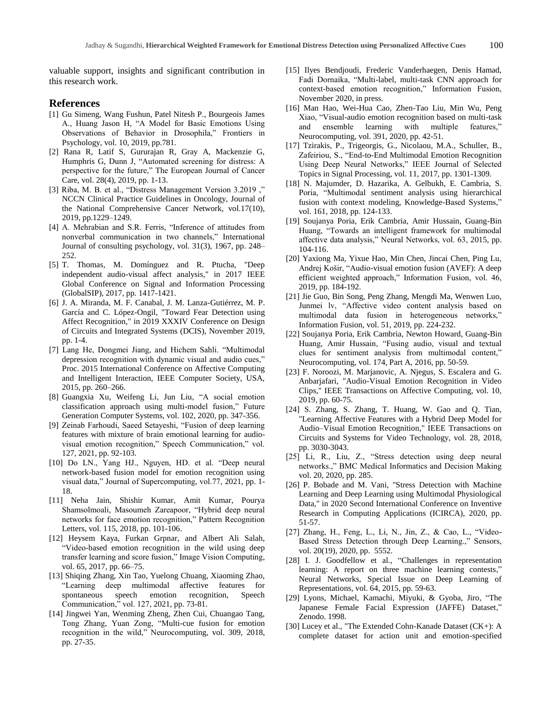valuable support, insights and significant contribution in this research work.

## **References**

- [1] Gu Simeng, Wang Fushun, Patel Nitesh P., Bourgeois James A., Huang Jason H, "A Model for Basic Emotions Using Observations of Behavior in Drosophila," Frontiers in Psychology, vol. 10, 2019, pp.781.
- [2] Rana R, Latif S, Gururajan R, Gray A, Mackenzie G, Humphris G, Dunn J, "Automated screening for distress: A perspective for the future," The European Journal of Cancer Care, vol. 28(4), 2019, pp. 1-13.
- [3] Riba, M. B. et al., "Distress Management Version 3.2019 ," NCCN Clinical Practice Guidelines in Oncology, Journal of the National Comprehensive Cancer Network, vol.17(10), 2019, pp.1229–1249.
- [4] A. Mehrabian and S.R. Ferris, "Inference of attitudes from nonverbal communication in two channels," International Journal of consulting psychology, vol. 31(3), 1967, pp. 248– 252.
- [5] T. Thomas, M. Domínguez and R. Ptucha, "Deep independent audio-visual affect analysis," in 2017 IEEE Global Conference on Signal and Information Processing (GlobalSIP), 2017, pp. 1417-1421.
- [6] J. A. Miranda, M. F. Canabal, J. M. Lanza-Gutiérrez, M. P. García and C. López-Ongil, "Toward Fear Detection using Affect Recognition," in 2019 XXXIV Conference on Design of Circuits and Integrated Systems (DCIS), November 2019, pp. 1-4.
- [7] Lang He, Dongmei Jiang, and Hichem Sahli. "Multimodal depression recognition with dynamic visual and audio cues," Proc. 2015 International Conference on Affective Computing and Intelligent Interaction, IEEE Computer Society, USA, 2015, pp. 260–266.
- [8] Guangxia Xu, Weifeng Li, Jun Liu, "A social emotion classification approach using multi-model fusion," Future Generation Computer Systems, vol. 102, 2020, pp. 347-356.
- [9] Zeinab Farhoudi, Saeed Setayeshi, "Fusion of deep learning features with mixture of brain emotional learning for audiovisual emotion recognition," Speech Communication," vol. 127, 2021, pp. 92-103.
- [10] Do LN., Yang HJ., Nguyen, HD. et al. "Deep neural network-based fusion model for emotion recognition using visual data," Journal of Supercomputing, vol.77, 2021, pp. 1- 18.
- [11] Neha Jain, Shishir Kumar, Amit Kumar, Pourya Shamsolmoali, Masoumeh Zareapoor, "Hybrid deep neural networks for face emotion recognition," Pattern Recognition Letters, vol. 115, 2018, pp. 101-106.
- [12] Heysem Kaya, Furkan Grpnar, and Albert Ali Salah, "Video-based emotion recognition in the wild using deep transfer learning and score fusion," Image Vision Computing, vol. 65, 2017, pp. 66–75.
- [13] Shiqing Zhang, Xin Tao, Yuelong Chuang, Xiaoming Zhao, "Learning deep multimodal affective features for spontaneous speech emotion recognition, Speech Communication," vol. 127, 2021, pp. 73-81.
- [14] Jingwei Yan, Wenming Zheng, Zhen Cui, Chuangao Tang, Tong Zhang, Yuan Zong, "Multi-cue fusion for emotion recognition in the wild," Neurocomputing, vol. 309, 2018, pp. 27-35.
- [15] Ilyes Bendjoudi, Frederic Vanderhaegen, Denis Hamad, Fadi Dornaika, "Multi-label, multi-task CNN approach for context-based emotion recognition," Information Fusion, November 2020, in press.
- [16] Man Hao, Wei-Hua Cao, Zhen-Tao Liu, Min Wu, Peng Xiao, "Visual-audio emotion recognition based on multi-task and ensemble learning with multiple features," Neurocomputing, vol. 391, 2020, pp. 42-51.
- [17] Tzirakis, P., Trigeorgis, G., Nicolaou, M.A., Schuller, B., Zafeiriou, S., "End-to-End Multimodal Emotion Recognition Using Deep Neural Networks," IEEE Journal of Selected Topics in Signal Processing, vol. 11, 2017, pp. 1301-1309.
- [18] N. Majumder, D. Hazarika, A. Gelbukh, E. Cambria, S. Poria, "Multimodal sentiment analysis using hierarchical fusion with context modeling, Knowledge-Based Systems," vol. 161, 2018, pp. 124-133.
- [19] Soujanya Poria, Erik Cambria, Amir Hussain, Guang-Bin Huang, "Towards an intelligent framework for multimodal affective data analysis," Neural Networks, vol. 63, 2015, pp. 104-116.
- [20] Yaxiong Ma, Yixue Hao, Min Chen, Jincai Chen, Ping Lu, Andrej Košir, "Audio-visual emotion fusion (AVEF): A deep efficient weighted approach," Information Fusion, vol. 46, 2019, pp. 184-192.
- [21] Jie Guo, Bin Song, Peng Zhang, Mengdi Ma, Wenwen Luo, Junmei lv, "Affective video content analysis based on multimodal data fusion in heterogeneous networks," Information Fusion, vol. 51, 2019, pp. 224-232.
- [22] Soujanya Poria, Erik Cambria, Newton Howard, Guang-Bin Huang, Amir Hussain, "Fusing audio, visual and textual clues for sentiment analysis from multimodal content," Neurocomputing, vol. 174, Part A, 2016, pp. 50-59.
- [23] F. Noroozi, M. Marjanovic, A. Njegus, S. Escalera and G. Anbarjafari, "Audio-Visual Emotion Recognition in Video Clips," IEEE Transactions on Affective Computing, vol. 10, 2019, pp. 60-75.
- [24] S. Zhang, S. Zhang, T. Huang, W. Gao and Q. Tian, "Learning Affective Features with a Hybrid Deep Model for Audio–Visual Emotion Recognition," IEEE Transactions on Circuits and Systems for Video Technology, vol. 28, 2018, pp. 3030-3043.
- [25] Li, R., Liu, Z., "Stress detection using deep neural networks.," BMC Medical Informatics and Decision Making vol. 20, 2020, pp. 285.
- [26] P. Bobade and M. Vani, "Stress Detection with Machine Learning and Deep Learning using Multimodal Physiological Data," in 2020 Second International Conference on Inventive Research in Computing Applications (ICIRCA), 2020, pp. 51-57.
- [27] Zhang, H., Feng, L., Li, N., Jin, Z., & Cao, L., "Video-Based Stress Detection through Deep Learning.," Sensors, vol. 20(19), 2020, pp. 5552.
- [28] I. J. Goodfellow et al., "Challenges in representation learning: A report on three machine learning contests," Neural Networks, Special Issue on Deep Learning of Representations, vol. 64, 2015, pp. 59-63.
- [29] Lyons, Michael, Kamachi, Miyuki, & Gyoba, Jiro, "The Japanese Female Facial Expression (JAFFE) Dataset," Zenodo. 1998.
- [30] Lucey et al., "The Extended Cohn-Kanade Dataset (CK+): A complete dataset for action unit and emotion-specified